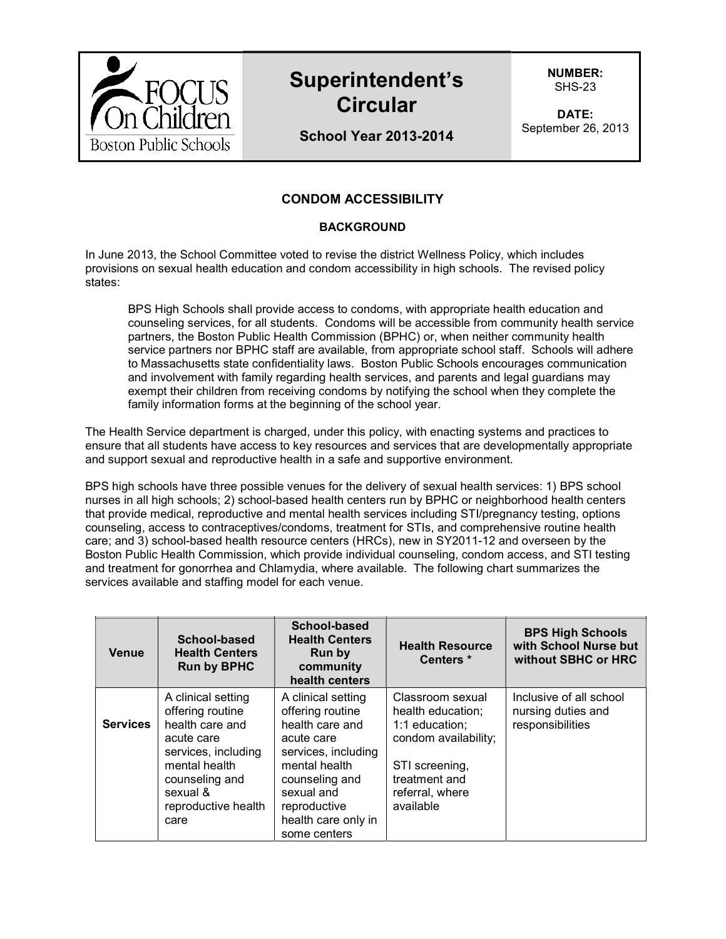

# **Superintendent's Circular**

**NUMBER:**  SHS-23

**DATE:**  September 26, 2013

## **School Year 2013-2014**

## **CONDOM ACCESSIBILITY**

#### **BACKGROUND**

In June 2013, the School Committee voted to revise the district Wellness Policy, which includes provisions on sexual health education and condom accessibility in high schools. The revised policy states:

BPS High Schools shall provide access to condoms, with appropriate health education and counseling services, for all students. Condoms will be accessible from community health service partners, the Boston Public Health Commission (BPHC) or, when neither community health service partners nor BPHC staff are available, from appropriate school staff. Schools will adhere to Massachusetts state confidentiality laws. Boston Public Schools encourages communication and involvement with family regarding health services, and parents and legal guardians may exempt their children from receiving condoms by notifying the school when they complete the family information forms at the beginning of the school year.

The Health Service department is charged, under this policy, with enacting systems and practices to ensure that all students have access to key resources and services that are developmentally appropriate and support sexual and reproductive health in a safe and supportive environment.

BPS high schools have three possible venues for the delivery of sexual health services: 1) BPS school nurses in all high schools; 2) school-based health centers run by BPHC or neighborhood health centers that provide medical, reproductive and mental health services including STI/pregnancy testing, options counseling, access to contraceptives/condoms, treatment for STIs, and comprehensive routine health care; and 3) school-based health resource centers (HRCs), new in SY2011-12 and overseen by the Boston Public Health Commission, which provide individual counseling, condom access, and STI testing and treatment for gonorrhea and Chlamydia, where available. The following chart summarizes the services available and staffing model for each venue.

| Venue           | School-based<br><b>Health Centers</b><br><b>Run by BPHC</b>                                                                                                                  | School-based<br><b>Health Centers</b><br><b>Run by</b><br>community<br>health centers                                                                                                                  | <b>Health Resource</b><br>Centers *                                                                                                                | <b>BPS High Schools</b><br>with School Nurse but<br>without SBHC or HRC |
|-----------------|------------------------------------------------------------------------------------------------------------------------------------------------------------------------------|--------------------------------------------------------------------------------------------------------------------------------------------------------------------------------------------------------|----------------------------------------------------------------------------------------------------------------------------------------------------|-------------------------------------------------------------------------|
| <b>Services</b> | A clinical setting<br>offering routine<br>health care and<br>acute care<br>services, including<br>mental health<br>counseling and<br>sexual &<br>reproductive health<br>care | A clinical setting<br>offering routine<br>health care and<br>acute care<br>services, including<br>mental health<br>counseling and<br>sexual and<br>reproductive<br>health care only in<br>some centers | Classroom sexual<br>health education;<br>1:1 education;<br>condom availability;<br>STI screening,<br>treatment and<br>referral, where<br>available | Inclusive of all school<br>nursing duties and<br>responsibilities       |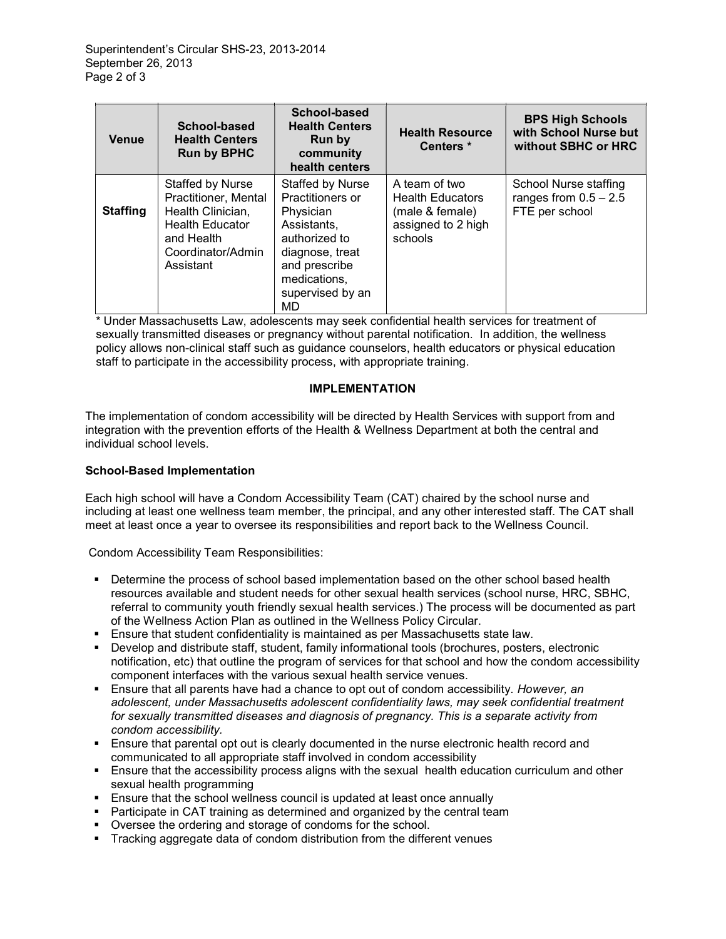| <b>Venue</b>    | School-based<br><b>Health Centers</b><br><b>Run by BPHC</b>                                                                             | School-based<br><b>Health Centers</b><br><b>Run by</b><br>community<br>health centers                                                                           | <b>Health Resource</b><br>Centers <sup>*</sup>                                               | <b>BPS High Schools</b><br>with School Nurse but<br>without SBHC or HRC |
|-----------------|-----------------------------------------------------------------------------------------------------------------------------------------|-----------------------------------------------------------------------------------------------------------------------------------------------------------------|----------------------------------------------------------------------------------------------|-------------------------------------------------------------------------|
| <b>Staffing</b> | Staffed by Nurse<br>Practitioner, Mental<br>Health Clinician,<br><b>Health Educator</b><br>and Health<br>Coordinator/Admin<br>Assistant | Staffed by Nurse<br>Practitioners or<br>Physician<br>Assistants,<br>authorized to<br>diagnose, treat<br>and prescribe<br>medications,<br>supervised by an<br>MD | A team of two<br><b>Health Educators</b><br>(male & female)<br>assigned to 2 high<br>schools | School Nurse staffing<br>ranges from $0.5 - 2.5$<br>FTE per school      |

\* Under Massachusetts Law, adolescents may seek confidential health services for treatment of sexually transmitted diseases or pregnancy without parental notification. In addition, the wellness policy allows non-clinical staff such as guidance counselors, health educators or physical education staff to participate in the accessibility process, with appropriate training.

### **IMPLEMENTATION**

The implementation of condom accessibility will be directed by Health Services with support from and integration with the prevention efforts of the Health & Wellness Department at both the central and individual school levels.

#### **School-Based Implementation**

Each high school will have a Condom Accessibility Team (CAT) chaired by the school nurse and including at least one wellness team member, the principal, and any other interested staff. The CAT shall meet at least once a year to oversee its responsibilities and report back to the Wellness Council.

Condom Accessibility Team Responsibilities:

- Determine the process of school based implementation based on the other school based health resources available and student needs for other sexual health services (school nurse, HRC, SBHC, referral to community youth friendly sexual health services.) The process will be documented as part of the Wellness Action Plan as outlined in the Wellness Policy Circular.
- Ensure that student confidentiality is maintained as per Massachusetts state law.
- Develop and distribute staff, student, family informational tools (brochures, posters, electronic notification, etc) that outline the program of services for that school and how the condom accessibility component interfaces with the various sexual health service venues.
- Ensure that all parents have had a chance to opt out of condom accessibility. *However, an adolescent, under Massachusetts adolescent confidentiality laws, may seek confidential treatment for sexually transmitted diseases and diagnosis of pregnancy. This is a separate activity from condom accessibility.*
- Ensure that parental opt out is clearly documented in the nurse electronic health record and communicated to all appropriate staff involved in condom accessibility
- Ensure that the accessibility process aligns with the sexual health education curriculum and other sexual health programming
- Ensure that the school wellness council is updated at least once annually
- **Participate in CAT training as determined and organized by the central team**
- Oversee the ordering and storage of condoms for the school.
- **Tracking aggregate data of condom distribution from the different venues**